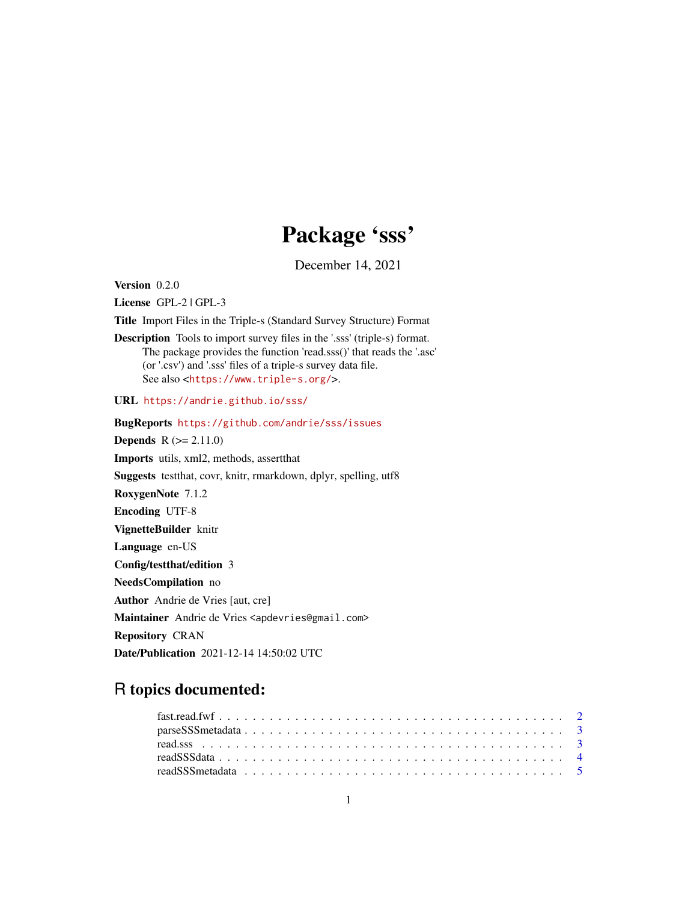# Package 'sss'

December 14, 2021

<span id="page-0-0"></span>Version 0.2.0

License GPL-2 | GPL-3

Title Import Files in the Triple-s (Standard Survey Structure) Format

Description Tools to import survey files in the '.sss' (triple-s) format. The package provides the function 'read.sss()' that reads the '.asc' (or '.csv') and '.sss' files of a triple-s survey data file. See also <<https://www.triple-s.org/>>.

URL <https://andrie.github.io/sss/>

BugReports <https://github.com/andrie/sss/issues> **Depends**  $R$  ( $>= 2.11.0$ ) Imports utils, xml2, methods, assertthat Suggests testthat, covr, knitr, rmarkdown, dplyr, spelling, utf8 RoxygenNote 7.1.2 Encoding UTF-8 VignetteBuilder knitr Language en-US Config/testthat/edition 3 NeedsCompilation no Author Andrie de Vries [aut, cre] Maintainer Andrie de Vries <apdevries@gmail.com>

Repository CRAN

Date/Publication 2021-12-14 14:50:02 UTC

# R topics documented: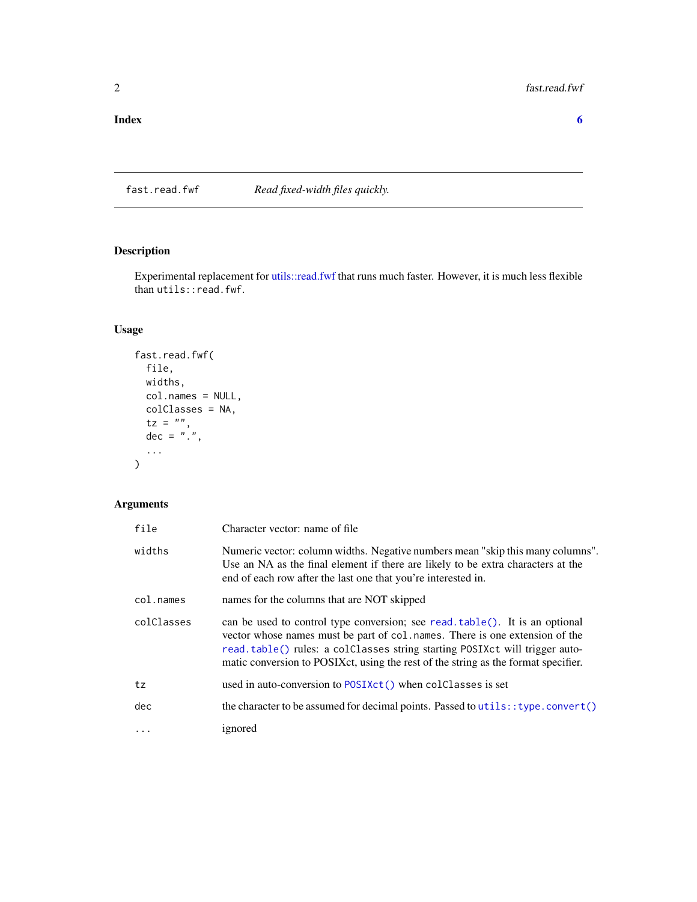<span id="page-1-0"></span>fast.read.fwf *Read fixed-width files quickly.*

# Description

Experimental replacement for [utils::read.fwf](#page-0-0) that runs much faster. However, it is much less flexible than utils::read.fwf.

# Usage

```
fast.read.fwf(
  file,
  widths,
  col.names = NULL,
  colClasses = NA,
   tz = "",dec = "."...
\overline{\phantom{a}}
```
# Arguments

| file       | Character vector: name of file                                                                                                                                                                                                                                                                                                        |
|------------|---------------------------------------------------------------------------------------------------------------------------------------------------------------------------------------------------------------------------------------------------------------------------------------------------------------------------------------|
| widths     | Numeric vector: column widths. Negative numbers mean "skip this many columns".<br>Use an NA as the final element if there are likely to be extra characters at the<br>end of each row after the last one that you're interested in.                                                                                                   |
| col.names  | names for the columns that are NOT skipped                                                                                                                                                                                                                                                                                            |
| colClasses | can be used to control type conversion; see read. $table()$ . It is an optional<br>vector whose names must be part of col. names. There is one extension of the<br>read.table() rules: a colClasses string starting POSIXct will trigger auto-<br>matic conversion to POSIX ct, using the rest of the string as the format specifier. |
| tz         | used in auto-conversion to POSIXct() when colclasses is set                                                                                                                                                                                                                                                                           |
| dec        | the character to be assumed for decimal points. Passed to utils: : type.convert()                                                                                                                                                                                                                                                     |
| $\ddots$   | ignored                                                                                                                                                                                                                                                                                                                               |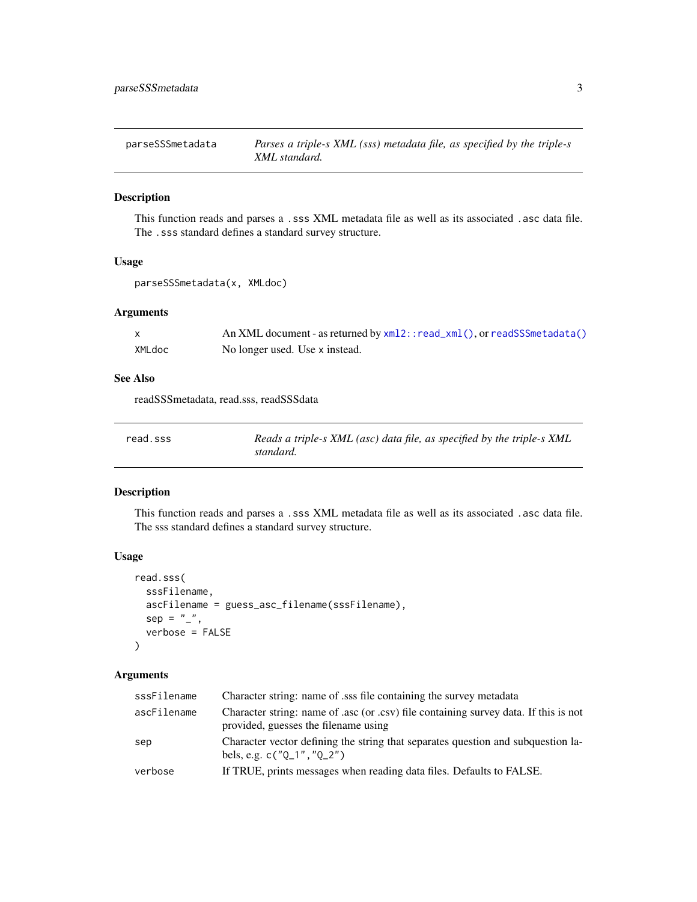#### <span id="page-2-2"></span><span id="page-2-0"></span>Description

This function reads and parses a .sss XML metadata file as well as its associated .asc data file. The .sss standard defines a standard survey structure.

# Usage

parseSSSmetadata(x, XMLdoc)

# Arguments

|        | An XML document - as returned by $xml2$ : $read\_xml()$ , or readSSSmetadata() |
|--------|--------------------------------------------------------------------------------|
| XMLdoc | No longer used. Use x instead.                                                 |

#### See Also

readSSSmetadata, read.sss, readSSSdata

<span id="page-2-1"></span>

| read.sss | Reads a triple-s XML (asc) data file, as specified by the triple-s XML |
|----------|------------------------------------------------------------------------|
|          | standard.                                                              |

# Description

This function reads and parses a .sss XML metadata file as well as its associated .asc data file. The sss standard defines a standard survey structure.

#### Usage

```
read.sss(
  sssFilename,
  ascFilename = guess_asc_filename(sssFilename),
  sep = "",
  verbose = FALSE
)
```
# Arguments

| sssFilename | Character string: name of sss file containing the survey metadata                                                            |
|-------------|------------------------------------------------------------------------------------------------------------------------------|
| ascFilename | Character string: name of .asc (or .csv) file containing survey data. If this is not<br>provided, guesses the filename using |
| sep         | Character vector defining the string that separates question and subquestion la-<br>bels, e.g. $c("0_1", "0_2")$             |
| verbose     | If TRUE, prints messages when reading data files. Defaults to FALSE.                                                         |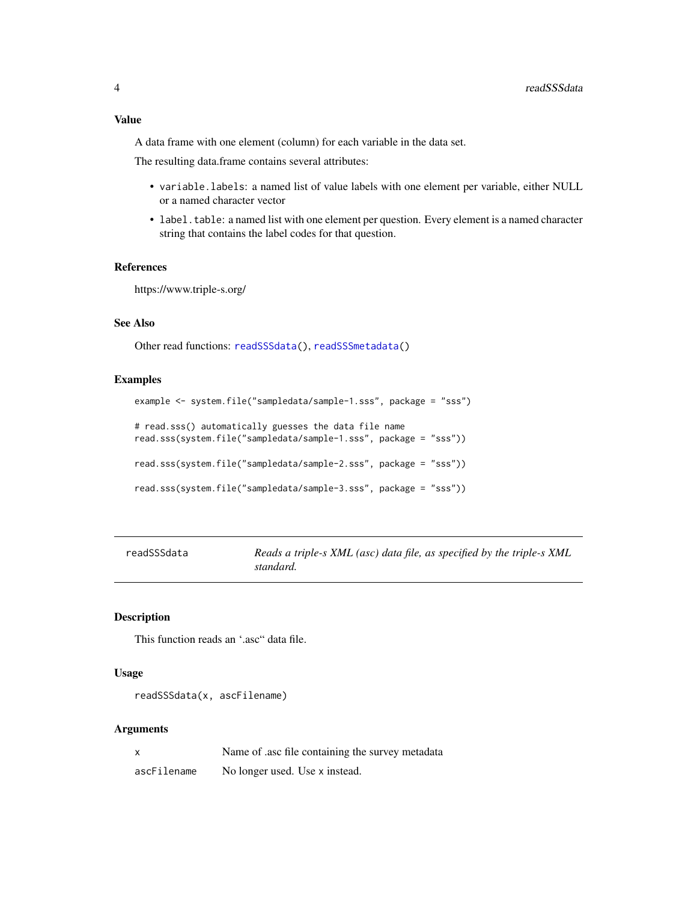# <span id="page-3-0"></span>Value

A data frame with one element (column) for each variable in the data set.

The resulting data.frame contains several attributes:

- variable.labels: a named list of value labels with one element per variable, either NULL or a named character vector
- label.table: a named list with one element per question. Every element is a named character string that contains the label codes for that question.

# References

https://www.triple-s.org/

# See Also

Other read functions: [readSSSdata\(](#page-3-1)), [readSSSmetadata\(](#page-4-1))

#### Examples

```
example <- system.file("sampledata/sample-1.sss", package = "sss")
# read.sss() automatically guesses the data file name
read.sss(system.file("sampledata/sample-1.sss", package = "sss"))
read.sss(system.file("sampledata/sample-2.sss", package = "sss"))
read.sss(system.file("sampledata/sample-3.sss", package = "sss"))
```
<span id="page-3-1"></span>

Reads a triple-s XML (asc) data file, as specified by the triple-s XML *standard.*

#### Description

This function reads an '.asc" data file.

#### Usage

```
readSSSdata(x, ascFilename)
```
#### Arguments

|             | Name of asc file containing the survey metadata |
|-------------|-------------------------------------------------|
| ascFilename | No longer used. Use x instead.                  |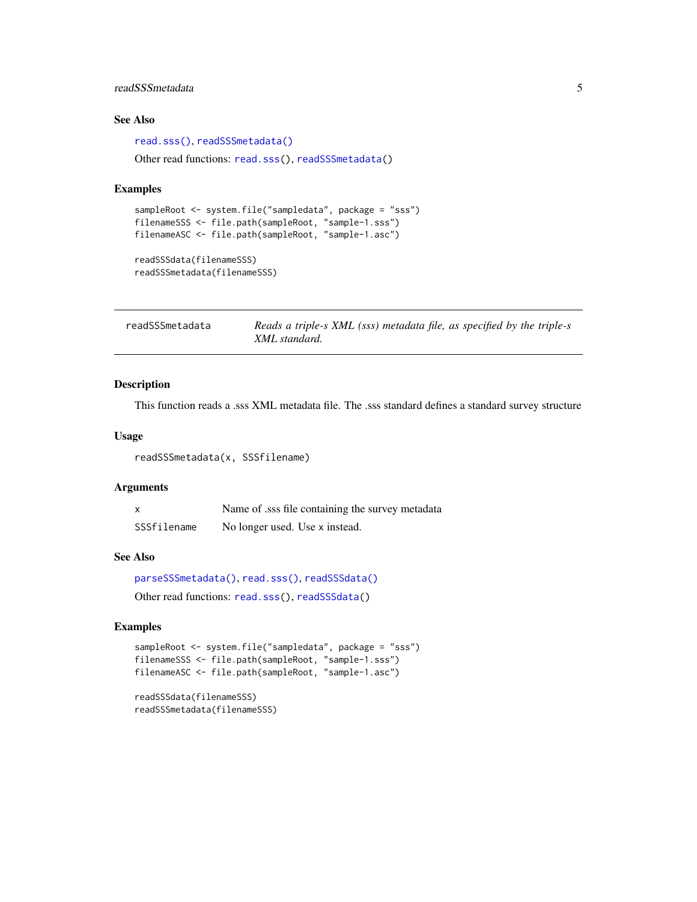# <span id="page-4-0"></span>readSSSmetadata 5

# See Also

[read.sss\(\)](#page-2-1), [readSSSmetadata\(\)](#page-4-1) Other read functions: [read.sss\(](#page-2-1)), [readSSSmetadata\(](#page-4-1))

#### Examples

```
sampleRoot <- system.file("sampledata", package = "sss")
filenameSSS <- file.path(sampleRoot, "sample-1.sss")
filenameASC <- file.path(sampleRoot, "sample-1.asc")
```
readSSSdata(filenameSSS) readSSSmetadata(filenameSSS)

<span id="page-4-1"></span>readSSSmetadata *Reads a triple-s XML (sss) metadata file, as specified by the triple-s XML standard.*

#### Description

This function reads a .sss XML metadata file. The .sss standard defines a standard survey structure

#### Usage

readSSSmetadata(x, SSSfilename)

# Arguments

| $\boldsymbol{\mathsf{x}}$ | Name of ass file containing the survey metadata |
|---------------------------|-------------------------------------------------|
| SSSfilename               | No longer used. Use x instead.                  |

#### See Also

```
parseSSSmetadata(), read.sss(), readSSSdata()
```
Other read functions: [read.sss\(](#page-2-1)), [readSSSdata\(](#page-3-1))

# Examples

```
sampleRoot <- system.file("sampledata", package = "sss")
filenameSSS <- file.path(sampleRoot, "sample-1.sss")
filenameASC <- file.path(sampleRoot, "sample-1.asc")
```
readSSSdata(filenameSSS) readSSSmetadata(filenameSSS)